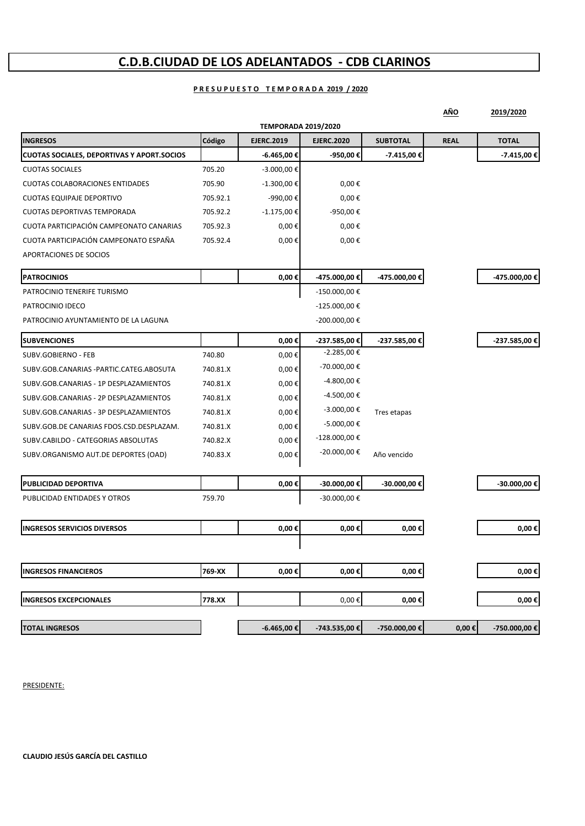# **C.D.B.CIUDAD DE LOS ADELANTADOS ‐ CDB CLARINOS**

### **P R E S U P U E S T O T E M P O R A D A 2019 / 2020**

|                                                   |          |                            |                   |                 | AÑO         | 2019/2020     |
|---------------------------------------------------|----------|----------------------------|-------------------|-----------------|-------------|---------------|
|                                                   |          | <b>TEMPORADA 2019/2020</b> |                   |                 |             |               |
| <b>INGRESOS</b>                                   | Código   | <b>EJERC.2019</b>          | <b>EJERC.2020</b> | <b>SUBTOTAL</b> | <b>REAL</b> | <b>TOTAL</b>  |
| <b>CUOTAS SOCIALES, DEPORTIVAS Y APORT.SOCIOS</b> |          | -6.465,00 €                | -950,00€          | -7.415,00 €     |             | -7.415,00 €   |
| <b>CUOTAS SOCIALES</b>                            | 705.20   | $-3.000,00 \in$            |                   |                 |             |               |
| <b>CUOTAS COLABORACIONES ENTIDADES</b>            | 705.90   | $-1.300,00 \in$            | $0,00 \in$        |                 |             |               |
| <b>CUOTAS EQUIPAJE DEPORTIVO</b>                  | 705.92.1 | -990,00€                   | $0,00 \in$        |                 |             |               |
| <b>CUOTAS DEPORTIVAS TEMPORADA</b>                | 705.92.2 | $-1.175,00 \in$            | -950,00€          |                 |             |               |
| CUOTA PARTICIPACIÓN CAMPEONATO CANARIAS           | 705.92.3 | $0,00 \in$                 | $0,00 \in$        |                 |             |               |
| CUOTA PARTICIPACIÓN CAMPEONATO ESPAÑA             | 705.92.4 | $0,00 \in$                 | $0,00 \in$        |                 |             |               |
| APORTACIONES DE SOCIOS                            |          |                            |                   |                 |             |               |
| <b>PATROCINIOS</b>                                |          | $0,00 \in$                 | -475.000,00 €     | -475.000,00 €   |             | -475.000,00 € |
| PATROCINIO TENERIFE TURISMO                       |          |                            | -150.000,00€      |                 |             |               |
| PATROCINIO IDECO                                  |          |                            | -125.000,00 €     |                 |             |               |
| PATROCINIO AYUNTAMIENTO DE LA LAGUNA              |          |                            | -200.000,00 €     |                 |             |               |
| <b>SUBVENCIONES</b>                               |          | $0,00 \in$                 | -237.585,00 €     | -237.585,00 €   |             | -237.585,00 € |
| SUBV.GOBIERNO - FEB                               | 740.80   | $0,00 \in$                 | -2.285,00€        |                 |             |               |
| SUBV.GOB.CANARIAS -PARTIC.CATEG.ABOSUTA           | 740.81.X | $0,00 \in$                 | -70.000,00 €      |                 |             |               |
| SUBV.GOB.CANARIAS - 1P DESPLAZAMIENTOS            | 740.81.X | $0,00 \in$                 | -4.800,00 €       |                 |             |               |
| SUBV.GOB.CANARIAS - 2P DESPLAZAMIENTOS            | 740.81.X | $0,00 \in$                 | -4.500,00 €       |                 |             |               |
| SUBV.GOB.CANARIAS - 3P DESPLAZAMIENTOS            | 740.81.X | $0,00 \in$                 | $-3.000,00 \in$   | Tres etapas     |             |               |
| SUBV.GOB.DE CANARIAS FDOS.CSD.DESPLAZAM.          | 740.81.X | $0,00 \in$                 | -5.000,00 €       |                 |             |               |
| SUBV.CABILDO - CATEGORIAS ABSOLUTAS               | 740.82.X | $0,00 \in$                 | -128.000,00 €     |                 |             |               |
| SUBV.ORGANISMO AUT.DE DEPORTES (OAD)              | 740.83.X | $0,00 \in$                 | $-20.000,00 \in$  | Año vencido     |             |               |
| PUBLICIDAD DEPORTIVA                              |          | $0,00 \in$                 | -30.000,00 €      | -30.000,00 €    |             | -30.000,00 €  |
| PUBLICIDAD ENTIDADES Y OTROS                      | 759.70   |                            | -30.000,00€       |                 |             |               |
|                                                   |          |                            |                   |                 |             |               |
| <b>INGRESOS SERVICIOS DIVERSOS</b>                |          | $0,00 \in$                 | 0,00€             | $0,00 \in$      |             | $0,00 \in$    |
|                                                   |          |                            |                   |                 |             |               |
| <b>INGRESOS FINANCIEROS</b>                       | 769-XX   | $0,00 \in$                 | $0,00 \in$        | $0,00 \in$      |             | $0,00 \in$    |
| <b>INGRESOS EXCEPCIONALES</b>                     | 778.XX   |                            | $0,00 \in$        | $0,00 \in$      |             | $0,00 \in$    |
|                                                   |          |                            |                   |                 |             |               |
| <b>TOTAL INGRESOS</b>                             |          | -6.465,00 €                | -743.535,00 €     | -750.000,00 €   | $0,00 \in$  | -750.000,00 € |

PRESIDENTE:

**CLAUDIO JESÚS GARCÍA DEL CASTILLO**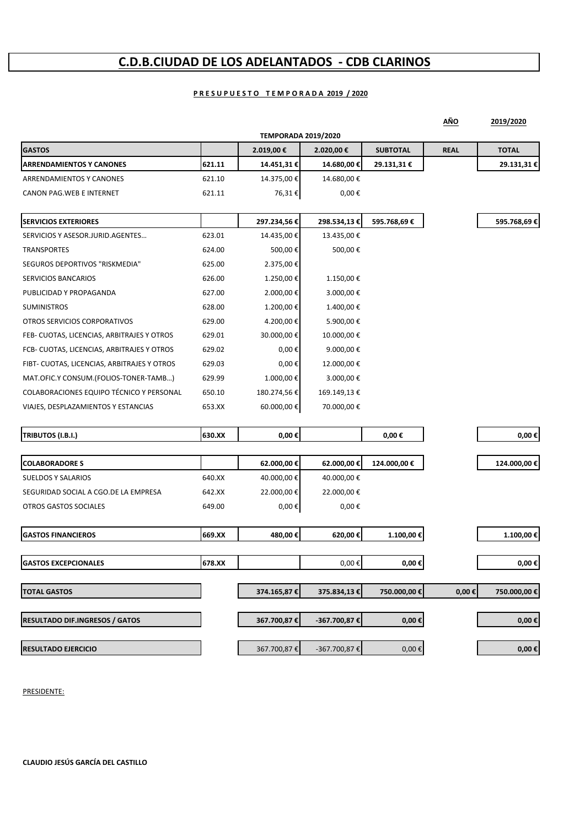# **C.D.B.CIUDAD DE LOS ADELANTADOS ‐ CDB CLARINOS**

## **P R E S U P U E S T O T E M P O R A D A 2019 / 2020**

|                                             |        |                            |              |                 | AÑO         | 2019/2020       |
|---------------------------------------------|--------|----------------------------|--------------|-----------------|-------------|-----------------|
|                                             |        | <b>TEMPORADA 2019/2020</b> |              |                 |             |                 |
| <b>GASTOS</b>                               |        | 2.019,00 €                 | 2.020,00 €   | <b>SUBTOTAL</b> | <b>REAL</b> | <b>TOTAL</b>    |
| <b>ARRENDAMIENTOS Y CANONES</b>             | 621.11 | 14.451,31 €                | 14.680,00 €  | 29.131,31 €     |             | 29.131,31€      |
| ARRENDAMIENTOS Y CANONES                    | 621.10 | 14.375,00 €                | 14.680,00€   |                 |             |                 |
| CANON PAG.WEB E INTERNET                    | 621.11 | 76,31€                     | 0,00€        |                 |             |                 |
| <b>SERVICIOS EXTERIORES</b>                 |        | 297.234,56€                | 298.534,13€  | 595.768,69€     |             | 595.768,69€     |
| SERVICIOS Y ASESOR.JURID.AGENTES            | 623.01 | 14.435,00 €                | 13.435,00 €  |                 |             |                 |
| <b>TRANSPORTES</b>                          | 624.00 | 500,00€                    | 500,00€      |                 |             |                 |
| SEGUROS DEPORTIVOS "RISKMEDIA"              | 625.00 | 2.375,00 €                 |              |                 |             |                 |
| <b>SERVICIOS BANCARIOS</b>                  | 626.00 | 1.250,00€                  | 1.150,00€    |                 |             |                 |
| PUBLICIDAD Y PROPAGANDA                     | 627.00 | 2.000,00 €                 | 3.000,00 €   |                 |             |                 |
| <b>SUMINISTROS</b>                          | 628.00 | 1.200,00€                  | 1.400,00 €   |                 |             |                 |
| OTROS SERVICIOS CORPORATIVOS                | 629.00 | 4.200,00 €                 | 5.900,00 €   |                 |             |                 |
| FEB- CUOTAS, LICENCIAS, ARBITRAJES Y OTROS  | 629.01 | 30.000,00 €                | 10.000,00 €  |                 |             |                 |
| FCB- CUOTAS, LICENCIAS, ARBITRAJES Y OTROS  | 629.02 | $0,00 \in$                 | 9.000,00 €   |                 |             |                 |
| FIBT- CUOTAS, LICENCIAS, ARBITRAJES Y OTROS | 629.03 | $0,00 \in$                 | 12.000,00€   |                 |             |                 |
| MAT.OFIC.Y CONSUM.(FOLIOS-TONER-TAMB)       | 629.99 | 1.000,00€                  | 3.000,00€    |                 |             |                 |
| COLABORACIONES EQUIPO TÉCNICO Y PERSONAL    | 650.10 | 180.274,56€                | 169.149,13 € |                 |             |                 |
| VIAJES, DESPLAZAMIENTOS Y ESTANCIAS         | 653.XX | 60.000,00 €                | 70.000,00 €  |                 |             |                 |
| TRIBUTOS (I.B.I.)                           | 630.XX | $0,00 \in$                 |              | $0,00 \in$      |             | 0,00€           |
|                                             |        |                            |              |                 |             |                 |
| <b>COLABORADORE S</b>                       |        | 62.000,00€                 | 62.000,00€   | 124.000,00€     |             | 124.000,00 €    |
| <b>SUELDOS Y SALARIOS</b>                   | 640.XX | 40.000,00€                 | 40.000,00€   |                 |             |                 |
| SEGURIDAD SOCIAL A CGO.DE LA EMPRESA        | 642.XX | 22.000,00 €                | 22.000,00 €  |                 |             |                 |
| OTROS GASTOS SOCIALES                       | 649.00 | 0,00€                      | $0,00 \in$   |                 |             |                 |
| <b>GASTOS FINANCIEROS</b>                   | 669.XX | 480,00€                    | 620,00€      | 1.100,00€       |             | 1.100,00 €      |
|                                             |        |                            |              |                 |             |                 |
| <b>GASTOS EXCEPCIONALES</b>                 | 678.XX |                            | $0,00 \in$   | $0,00 \in$      |             | 0,00 $\epsilon$ |
| <b>TOTAL GASTOS</b>                         |        | 374.165,87€                | 375.834,13€  | 750.000,00€     | $0,00 \in$  | 750.000,00 €    |
| <b>RESULTADO DIF.INGRESOS / GATOS</b>       |        | 367.700,87€                | -367.700,87€ | $0,00 \in$      |             | $0,00\in$       |
| <b>RESULTADO EJERCICIO</b>                  |        | 367.700,87€                | -367.700,87€ | $0,00 \in$      |             | $0,00 \in$      |

PRESIDENTE: